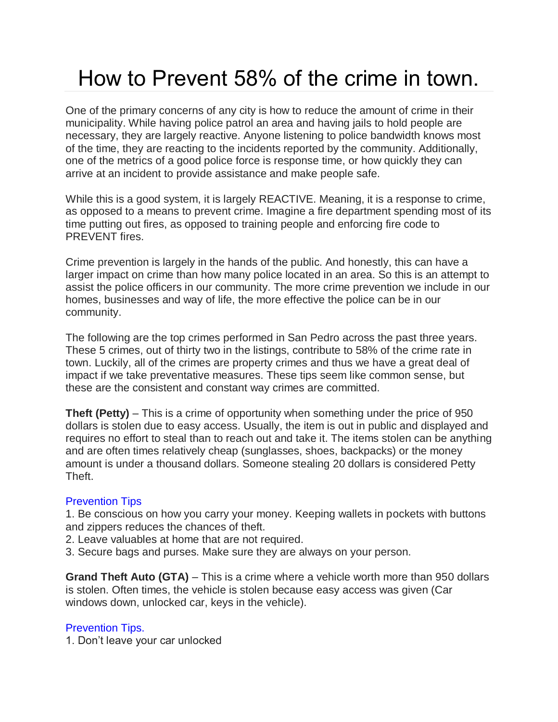# How to Prevent 58% of the crime in town.

One of the primary concerns of any city is how to reduce the amount of crime in their municipality. While having police patrol an area and having jails to hold people are necessary, they are largely reactive. Anyone listening to police bandwidth knows most of the time, they are reacting to the incidents reported by the community. Additionally, one of the metrics of a good police force is response time, or how quickly they can arrive at an incident to provide assistance and make people safe.

While this is a good system, it is largely REACTIVE. Meaning, it is a response to crime, as opposed to a means to prevent crime. Imagine a fire department spending most of its time putting out fires, as opposed to training people and enforcing fire code to PREVENT fires.

Crime prevention is largely in the hands of the public. And honestly, this can have a larger impact on crime than how many police located in an area. So this is an attempt to assist the police officers in our community. The more crime prevention we include in our homes, businesses and way of life, the more effective the police can be in our community.

The following are the top crimes performed in San Pedro across the past three years. These 5 crimes, out of thirty two in the listings, contribute to 58% of the crime rate in town. Luckily, all of the crimes are property crimes and thus we have a great deal of impact if we take preventative measures. These tips seem like common sense, but these are the consistent and constant way crimes are committed.

**Theft (Petty)** – This is a crime of opportunity when something under the price of 950 dollars is stolen due to easy access. Usually, the item is out in public and displayed and requires no effort to steal than to reach out and take it. The items stolen can be anything and are often times relatively cheap (sunglasses, shoes, backpacks) or the money amount is under a thousand dollars. Someone stealing 20 dollars is considered Petty Theft.

## Prevention Tips

1. Be conscious on how you carry your money. Keeping wallets in pockets with buttons and zippers reduces the chances of theft.

2. Leave valuables at home that are not required.

3. Secure bags and purses. Make sure they are always on your person.

**Grand Theft Auto (GTA)** – This is a crime where a vehicle worth more than 950 dollars is stolen. Often times, the vehicle is stolen because easy access was given (Car windows down, unlocked car, keys in the vehicle).

## Prevention Tips.

1. Don't leave your car unlocked